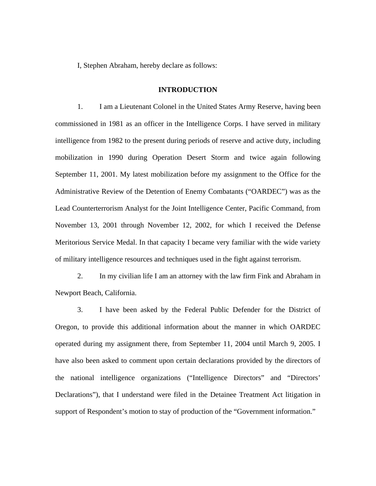I, Stephen Abraham, hereby declare as follows:

## **INTRODUCTION**

1. I am a Lieutenant Colonel in the United States Army Reserve, having been commissioned in 1981 as an officer in the Intelligence Corps. I have served in military intelligence from 1982 to the present during periods of reserve and active duty, including mobilization in 1990 during Operation Desert Storm and twice again following September 11, 2001. My latest mobilization before my assignment to the Office for the Administrative Review of the Detention of Enemy Combatants ("OARDEC") was as the Lead Counterterrorism Analyst for the Joint Intelligence Center, Pacific Command, from November 13, 2001 through November 12, 2002, for which I received the Defense Meritorious Service Medal. In that capacity I became very familiar with the wide variety of military intelligence resources and techniques used in the fight against terrorism.

2. In my civilian life I am an attorney with the law firm Fink and Abraham in Newport Beach, California.

3. I have been asked by the Federal Public Defender for the District of Oregon, to provide this additional information about the manner in which OARDEC operated during my assignment there, from September 11, 2004 until March 9, 2005. I have also been asked to comment upon certain declarations provided by the directors of the national intelligence organizations ("Intelligence Directors" and "Directors' Declarations"), that I understand were filed in the Detainee Treatment Act litigation in support of Respondent's motion to stay of production of the "Government information."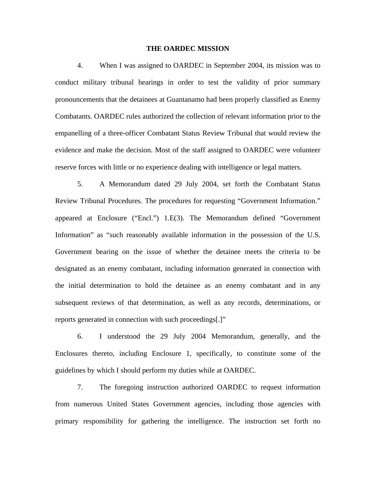## **THE OARDEC MISSION**

4. When I was assigned to OARDEC in September 2004, its mission was to conduct military tribunal hearings in order to test the validity of prior summary pronouncements that the detainees at Guantanamo had been properly classified as Enemy Combatants. OARDEC rules authorized the collection of relevant information prior to the empanelling of a three-officer Combatant Status Review Tribunal that would review the evidence and make the decision. Most of the staff assigned to OARDEC were volunteer reserve forces with little or no experience dealing with intelligence or legal matters.

5. A Memorandum dated 29 July 2004, set forth the Combatant Status Review Tribunal Procedures. The procedures for requesting "Government Information." appeared at Enclosure ("Encl.") 1.E(3). The Memorandum defined "Government Information" as "such reasonably available information in the possession of the U.S. Government bearing on the issue of whether the detainee meets the criteria to be designated as an enemy combatant, including information generated in connection with the initial determination to hold the detainee as an enemy combatant and in any subsequent reviews of that determination, as well as any records, determinations, or reports generated in connection with such proceedings[.]"

6. I understood the 29 July 2004 Memorandum, generally, and the Enclosures thereto, including Enclosure 1, specifically, to constitute some of the guidelines by which I should perform my duties while at OARDEC.

7. The foregoing instruction authorized OARDEC to request information from numerous United States Government agencies, including those agencies with primary responsibility for gathering the intelligence. The instruction set forth no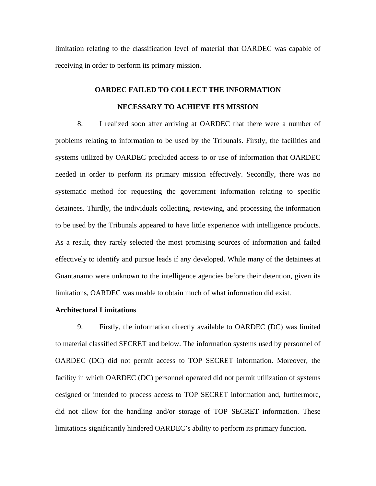limitation relating to the classification level of material that OARDEC was capable of receiving in order to perform its primary mission.

# **OARDEC FAILED TO COLLECT THE INFORMATION NECESSARY TO ACHIEVE ITS MISSION**

8. I realized soon after arriving at OARDEC that there were a number of problems relating to information to be used by the Tribunals. Firstly, the facilities and systems utilized by OARDEC precluded access to or use of information that OARDEC needed in order to perform its primary mission effectively. Secondly, there was no systematic method for requesting the government information relating to specific detainees. Thirdly, the individuals collecting, reviewing, and processing the information to be used by the Tribunals appeared to have little experience with intelligence products. As a result, they rarely selected the most promising sources of information and failed effectively to identify and pursue leads if any developed. While many of the detainees at Guantanamo were unknown to the intelligence agencies before their detention, given its limitations, OARDEC was unable to obtain much of what information did exist.

## **Architectural Limitations**

9. Firstly, the information directly available to OARDEC (DC) was limited to material classified SECRET and below. The information systems used by personnel of OARDEC (DC) did not permit access to TOP SECRET information. Moreover, the facility in which OARDEC (DC) personnel operated did not permit utilization of systems designed or intended to process access to TOP SECRET information and, furthermore, did not allow for the handling and/or storage of TOP SECRET information. These limitations significantly hindered OARDEC's ability to perform its primary function.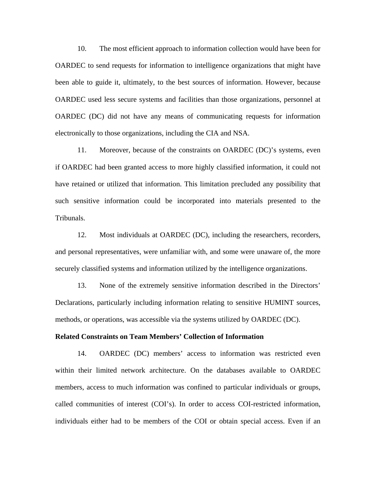10. The most efficient approach to information collection would have been for OARDEC to send requests for information to intelligence organizations that might have been able to guide it, ultimately, to the best sources of information. However, because OARDEC used less secure systems and facilities than those organizations, personnel at OARDEC (DC) did not have any means of communicating requests for information electronically to those organizations, including the CIA and NSA.

11. Moreover, because of the constraints on OARDEC (DC)'s systems, even if OARDEC had been granted access to more highly classified information, it could not have retained or utilized that information. This limitation precluded any possibility that such sensitive information could be incorporated into materials presented to the Tribunals.

12. Most individuals at OARDEC (DC), including the researchers, recorders, and personal representatives, were unfamiliar with, and some were unaware of, the more securely classified systems and information utilized by the intelligence organizations.

13. None of the extremely sensitive information described in the Directors' Declarations, particularly including information relating to sensitive HUMINT sources, methods, or operations, was accessible via the systems utilized by OARDEC (DC).

## **Related Constraints on Team Members' Collection of Information**

14. OARDEC (DC) members' access to information was restricted even within their limited network architecture. On the databases available to OARDEC members, access to much information was confined to particular individuals or groups, called communities of interest (COI's). In order to access COI-restricted information, individuals either had to be members of the COI or obtain special access. Even if an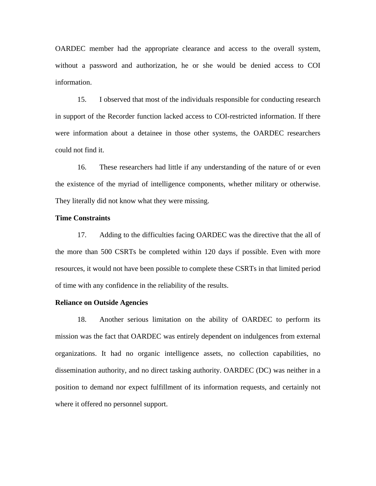OARDEC member had the appropriate clearance and access to the overall system, without a password and authorization, he or she would be denied access to COI information.

15. I observed that most of the individuals responsible for conducting research in support of the Recorder function lacked access to COI-restricted information. If there were information about a detainee in those other systems, the OARDEC researchers could not find it.

16. These researchers had little if any understanding of the nature of or even the existence of the myriad of intelligence components, whether military or otherwise. They literally did not know what they were missing.

## **Time Constraints**

17. Adding to the difficulties facing OARDEC was the directive that the all of the more than 500 CSRTs be completed within 120 days if possible. Even with more resources, it would not have been possible to complete these CSRTs in that limited period of time with any confidence in the reliability of the results.

## **Reliance on Outside Agencies**

18. Another serious limitation on the ability of OARDEC to perform its mission was the fact that OARDEC was entirely dependent on indulgences from external organizations. It had no organic intelligence assets, no collection capabilities, no dissemination authority, and no direct tasking authority. OARDEC (DC) was neither in a position to demand nor expect fulfillment of its information requests, and certainly not where it offered no personnel support.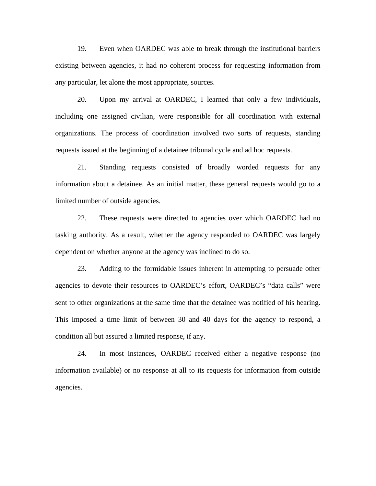19. Even when OARDEC was able to break through the institutional barriers existing between agencies, it had no coherent process for requesting information from any particular, let alone the most appropriate, sources.

20. Upon my arrival at OARDEC, I learned that only a few individuals, including one assigned civilian, were responsible for all coordination with external organizations. The process of coordination involved two sorts of requests, standing requests issued at the beginning of a detainee tribunal cycle and ad hoc requests.

21. Standing requests consisted of broadly worded requests for any information about a detainee. As an initial matter, these general requests would go to a limited number of outside agencies.

22. These requests were directed to agencies over which OARDEC had no tasking authority. As a result, whether the agency responded to OARDEC was largely dependent on whether anyone at the agency was inclined to do so.

23. Adding to the formidable issues inherent in attempting to persuade other agencies to devote their resources to OARDEC's effort, OARDEC's "data calls" were sent to other organizations at the same time that the detainee was notified of his hearing. This imposed a time limit of between 30 and 40 days for the agency to respond, a condition all but assured a limited response, if any.

24. In most instances, OARDEC received either a negative response (no information available) or no response at all to its requests for information from outside agencies.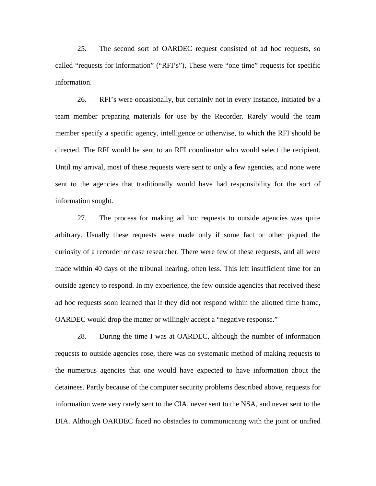25. The second sort of OARDEC request consisted of ad hoc requests, so called "requests for information" ("RFI's"). These were "one time" requests for specific information.

26. RFI's were occasionally, but certainly not in every instance, initiated by a team member preparing materials for use by the Recorder. Rarely would the team member specify a specific agency, intelligence or otherwise, to which the RFI should be directed. The RFI would be sent to an RFI coordinator who would select the recipient. Until my arrival, most of these requests were sent to only a few agencies, and none were sent to the agencies that traditionally would have had responsibility for the sort of information sought.

27. The process for making ad hoc requests to outside agencies was quite arbitrary. Usually these requests were made only if some fact or other piqued the curiosity of a recorder or case researcher. There were few of these requests, and all were made within 40 days of the tribunal hearing, often less. This left insufficient time for an outside agency to respond. In my experience, the few outside agencies that received these ad hoc requests soon learned that if they did not respond within the allotted time frame, OARDEC would drop the matter or willingly accept a "negative response."

28. During the time I was at OARDEC, although the number of information requests to outside agencies rose, there was no systematic method of making requests to the numerous agencies that one would have expected to have information about the detainees. Partly because of the computer security problems described above, requests for information were very rarely sent to the CIA, never sent to the NSA, and never sent to the DIA. Although OARDEC faced no obstacles to communicating with the joint or unified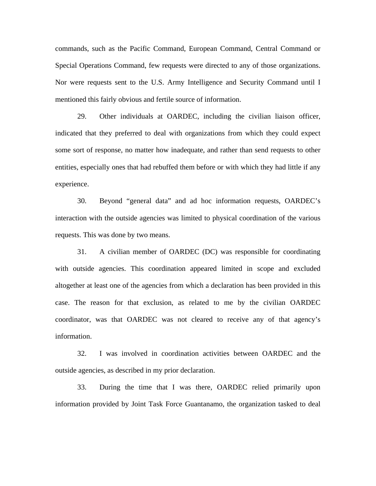commands, such as the Pacific Command, European Command, Central Command or Special Operations Command, few requests were directed to any of those organizations. Nor were requests sent to the U.S. Army Intelligence and Security Command until I mentioned this fairly obvious and fertile source of information.

29. Other individuals at OARDEC, including the civilian liaison officer, indicated that they preferred to deal with organizations from which they could expect some sort of response, no matter how inadequate, and rather than send requests to other entities, especially ones that had rebuffed them before or with which they had little if any experience.

30. Beyond "general data" and ad hoc information requests, OARDEC's interaction with the outside agencies was limited to physical coordination of the various requests. This was done by two means.

31. A civilian member of OARDEC (DC) was responsible for coordinating with outside agencies. This coordination appeared limited in scope and excluded altogether at least one of the agencies from which a declaration has been provided in this case. The reason for that exclusion, as related to me by the civilian OARDEC coordinator, was that OARDEC was not cleared to receive any of that agency's information.

32. I was involved in coordination activities between OARDEC and the outside agencies, as described in my prior declaration.

33. During the time that I was there, OARDEC relied primarily upon information provided by Joint Task Force Guantanamo, the organization tasked to deal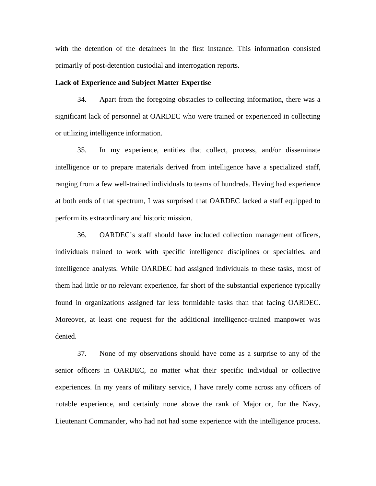with the detention of the detainees in the first instance. This information consisted primarily of post-detention custodial and interrogation reports.

## **Lack of Experience and Subject Matter Expertise**

34. Apart from the foregoing obstacles to collecting information, there was a significant lack of personnel at OARDEC who were trained or experienced in collecting or utilizing intelligence information.

35. In my experience, entities that collect, process, and/or disseminate intelligence or to prepare materials derived from intelligence have a specialized staff, ranging from a few well-trained individuals to teams of hundreds. Having had experience at both ends of that spectrum, I was surprised that OARDEC lacked a staff equipped to perform its extraordinary and historic mission.

36. OARDEC's staff should have included collection management officers, individuals trained to work with specific intelligence disciplines or specialties, and intelligence analysts. While OARDEC had assigned individuals to these tasks, most of them had little or no relevant experience, far short of the substantial experience typically found in organizations assigned far less formidable tasks than that facing OARDEC. Moreover, at least one request for the additional intelligence-trained manpower was denied.

37. None of my observations should have come as a surprise to any of the senior officers in OARDEC, no matter what their specific individual or collective experiences. In my years of military service, I have rarely come across any officers of notable experience, and certainly none above the rank of Major or, for the Navy, Lieutenant Commander, who had not had some experience with the intelligence process.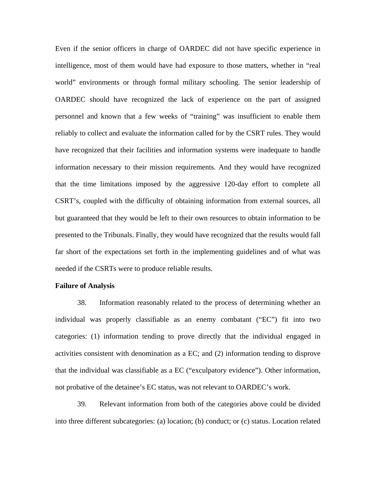Even if the senior officers in charge of OARDEC did not have specific experience in intelligence, most of them would have had exposure to those matters, whether in "real world" environments or through formal military schooling. The senior leadership of OARDEC should have recognized the lack of experience on the part of assigned personnel and known that a few weeks of "training" was insufficient to enable them reliably to collect and evaluate the information called for by the CSRT rules. They would have recognized that their facilities and information systems were inadequate to handle information necessary to their mission requirements. And they would have recognized that the time limitations imposed by the aggressive 120-day effort to complete all CSRT's, coupled with the difficulty of obtaining information from external sources, all but guaranteed that they would be left to their own resources to obtain information to be presented to the Tribunals. Finally, they would have recognized that the results would fall far short of the expectations set forth in the implementing guidelines and of what was needed if the CSRTs were to produce reliable results.

## **Failure of Analysis**

38. Information reasonably related to the process of determining whether an individual was properly classifiable as an enemy combatant ("EC") fit into two categories: (1) information tending to prove directly that the individual engaged in activities consistent with denomination as a EC; and (2) information tending to disprove that the individual was classifiable as a EC ("exculpatory evidence"). Other information, not probative of the detainee's EC status, was not relevant to OARDEC's work.

39. Relevant information from both of the categories above could be divided into three different subcategories: (a) location; (b) conduct; or (c) status. Location related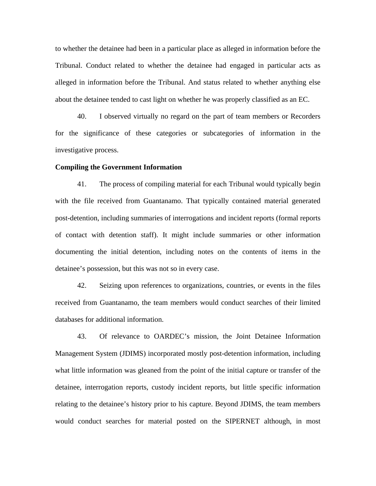to whether the detainee had been in a particular place as alleged in information before the Tribunal. Conduct related to whether the detainee had engaged in particular acts as alleged in information before the Tribunal. And status related to whether anything else about the detainee tended to cast light on whether he was properly classified as an EC.

40. I observed virtually no regard on the part of team members or Recorders for the significance of these categories or subcategories of information in the investigative process.

## **Compiling the Government Information**

41. The process of compiling material for each Tribunal would typically begin with the file received from Guantanamo. That typically contained material generated post-detention, including summaries of interrogations and incident reports (formal reports of contact with detention staff). It might include summaries or other information documenting the initial detention, including notes on the contents of items in the detainee's possession, but this was not so in every case.

42. Seizing upon references to organizations, countries, or events in the files received from Guantanamo, the team members would conduct searches of their limited databases for additional information.

43. Of relevance to OARDEC's mission, the Joint Detainee Information Management System (JDIMS) incorporated mostly post-detention information, including what little information was gleaned from the point of the initial capture or transfer of the detainee, interrogation reports, custody incident reports, but little specific information relating to the detainee's history prior to his capture. Beyond JDIMS, the team members would conduct searches for material posted on the SIPERNET although, in most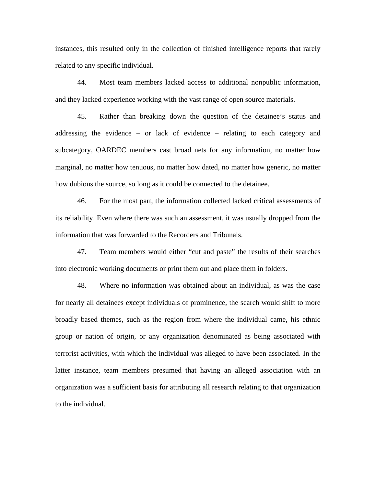instances, this resulted only in the collection of finished intelligence reports that rarely related to any specific individual.

44. Most team members lacked access to additional nonpublic information, and they lacked experience working with the vast range of open source materials.

45. Rather than breaking down the question of the detainee's status and addressing the evidence – or lack of evidence – relating to each category and subcategory, OARDEC members cast broad nets for any information, no matter how marginal, no matter how tenuous, no matter how dated, no matter how generic, no matter how dubious the source, so long as it could be connected to the detainee.

46. For the most part, the information collected lacked critical assessments of its reliability. Even where there was such an assessment, it was usually dropped from the information that was forwarded to the Recorders and Tribunals.

47. Team members would either "cut and paste" the results of their searches into electronic working documents or print them out and place them in folders.

48. Where no information was obtained about an individual, as was the case for nearly all detainees except individuals of prominence, the search would shift to more broadly based themes, such as the region from where the individual came, his ethnic group or nation of origin, or any organization denominated as being associated with terrorist activities, with which the individual was alleged to have been associated. In the latter instance, team members presumed that having an alleged association with an organization was a sufficient basis for attributing all research relating to that organization to the individual.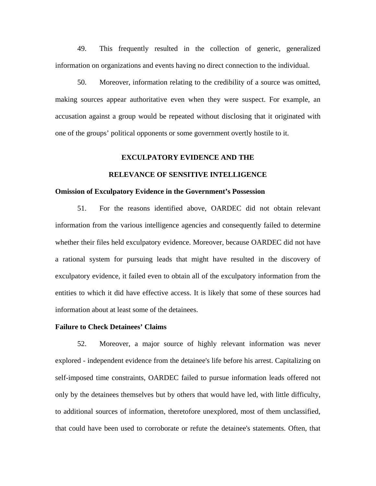49. This frequently resulted in the collection of generic, generalized information on organizations and events having no direct connection to the individual.

50. Moreover, information relating to the credibility of a source was omitted, making sources appear authoritative even when they were suspect. For example, an accusation against a group would be repeated without disclosing that it originated with one of the groups' political opponents or some government overtly hostile to it.

#### **EXCULPATORY EVIDENCE AND THE**

## **RELEVANCE OF SENSITIVE INTELLIGENCE**

#### **Omission of Exculpatory Evidence in the Government's Possession**

51. For the reasons identified above, OARDEC did not obtain relevant information from the various intelligence agencies and consequently failed to determine whether their files held exculpatory evidence. Moreover, because OARDEC did not have a rational system for pursuing leads that might have resulted in the discovery of exculpatory evidence, it failed even to obtain all of the exculpatory information from the entities to which it did have effective access. It is likely that some of these sources had information about at least some of the detainees.

## **Failure to Check Detainees' Claims**

52. Moreover, a major source of highly relevant information was never explored - independent evidence from the detainee's life before his arrest. Capitalizing on self-imposed time constraints, OARDEC failed to pursue information leads offered not only by the detainees themselves but by others that would have led, with little difficulty, to additional sources of information, theretofore unexplored, most of them unclassified, that could have been used to corroborate or refute the detainee's statements. Often, that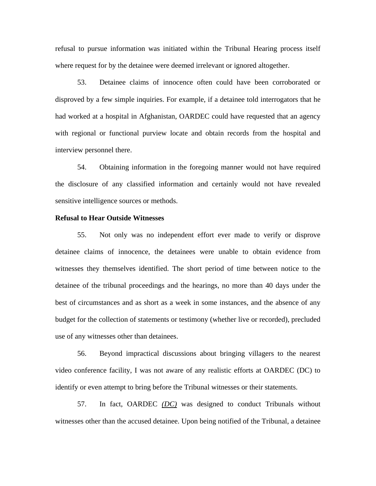refusal to pursue information was initiated within the Tribunal Hearing process itself where request for by the detainee were deemed irrelevant or ignored altogether.

53. Detainee claims of innocence often could have been corroborated or disproved by a few simple inquiries. For example, if a detainee told interrogators that he had worked at a hospital in Afghanistan, OARDEC could have requested that an agency with regional or functional purview locate and obtain records from the hospital and interview personnel there.

54. Obtaining information in the foregoing manner would not have required the disclosure of any classified information and certainly would not have revealed sensitive intelligence sources or methods.

## **Refusal to Hear Outside Witnesses**

55. Not only was no independent effort ever made to verify or disprove detainee claims of innocence, the detainees were unable to obtain evidence from witnesses they themselves identified. The short period of time between notice to the detainee of the tribunal proceedings and the hearings, no more than 40 days under the best of circumstances and as short as a week in some instances, and the absence of any budget for the collection of statements or testimony (whether live or recorded), precluded use of any witnesses other than detainees.

56. Beyond impractical discussions about bringing villagers to the nearest video conference facility, I was not aware of any realistic efforts at OARDEC (DC) to identify or even attempt to bring before the Tribunal witnesses or their statements.

57. In fact, OARDEC *(DC)* was designed to conduct Tribunals without witnesses other than the accused detainee. Upon being notified of the Tribunal, a detainee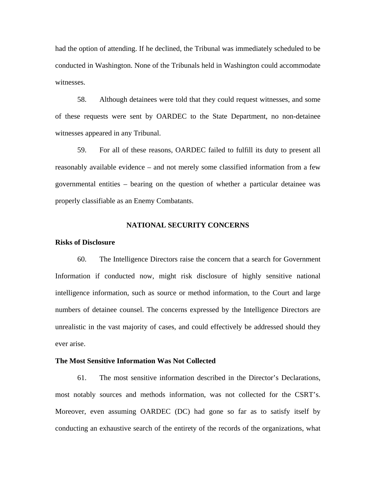had the option of attending. If he declined, the Tribunal was immediately scheduled to be conducted in Washington. None of the Tribunals held in Washington could accommodate witnesses.

58. Although detainees were told that they could request witnesses, and some of these requests were sent by OARDEC to the State Department, no non-detainee witnesses appeared in any Tribunal.

59. For all of these reasons, OARDEC failed to fulfill its duty to present all reasonably available evidence – and not merely some classified information from a few governmental entities – bearing on the question of whether a particular detainee was properly classifiable as an Enemy Combatants.

## **NATIONAL SECURITY CONCERNS**

## **Risks of Disclosure**

60. The Intelligence Directors raise the concern that a search for Government Information if conducted now, might risk disclosure of highly sensitive national intelligence information, such as source or method information, to the Court and large numbers of detainee counsel. The concerns expressed by the Intelligence Directors are unrealistic in the vast majority of cases, and could effectively be addressed should they ever arise.

## **The Most Sensitive Information Was Not Collected**

61. The most sensitive information described in the Director's Declarations, most notably sources and methods information, was not collected for the CSRT's. Moreover, even assuming OARDEC (DC) had gone so far as to satisfy itself by conducting an exhaustive search of the entirety of the records of the organizations, what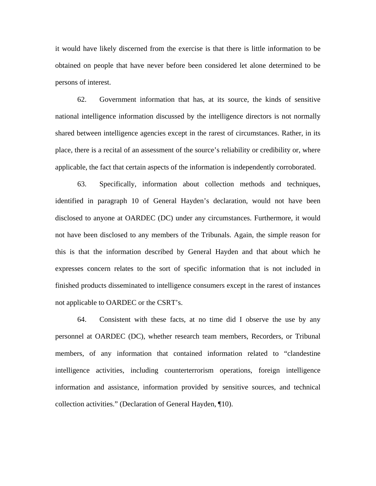it would have likely discerned from the exercise is that there is little information to be obtained on people that have never before been considered let alone determined to be persons of interest.

62. Government information that has, at its source, the kinds of sensitive national intelligence information discussed by the intelligence directors is not normally shared between intelligence agencies except in the rarest of circumstances. Rather, in its place, there is a recital of an assessment of the source's reliability or credibility or, where applicable, the fact that certain aspects of the information is independently corroborated.

63. Specifically, information about collection methods and techniques, identified in paragraph 10 of General Hayden's declaration, would not have been disclosed to anyone at OARDEC (DC) under any circumstances. Furthermore, it would not have been disclosed to any members of the Tribunals. Again, the simple reason for this is that the information described by General Hayden and that about which he expresses concern relates to the sort of specific information that is not included in finished products disseminated to intelligence consumers except in the rarest of instances not applicable to OARDEC or the CSRT's.

64. Consistent with these facts, at no time did I observe the use by any personnel at OARDEC (DC), whether research team members, Recorders, or Tribunal members, of any information that contained information related to "clandestine intelligence activities, including counterterrorism operations, foreign intelligence information and assistance, information provided by sensitive sources, and technical collection activities." (Declaration of General Hayden, ¶10).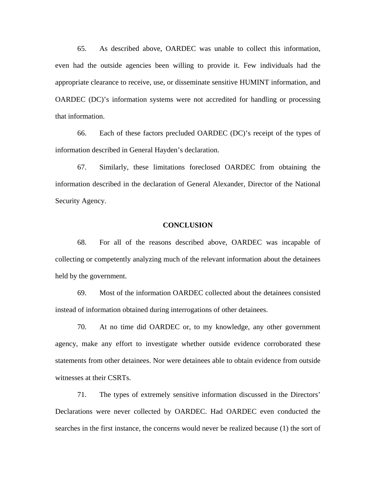65. As described above, OARDEC was unable to collect this information, even had the outside agencies been willing to provide it. Few individuals had the appropriate clearance to receive, use, or disseminate sensitive HUMINT information, and OARDEC (DC)'s information systems were not accredited for handling or processing that information.

66. Each of these factors precluded OARDEC (DC)'s receipt of the types of information described in General Hayden's declaration.

67. Similarly, these limitations foreclosed OARDEC from obtaining the information described in the declaration of General Alexander, Director of the National Security Agency.

#### **CONCLUSION**

68. For all of the reasons described above, OARDEC was incapable of collecting or competently analyzing much of the relevant information about the detainees held by the government.

69. Most of the information OARDEC collected about the detainees consisted instead of information obtained during interrogations of other detainees.

70. At no time did OARDEC or, to my knowledge, any other government agency, make any effort to investigate whether outside evidence corroborated these statements from other detainees. Nor were detainees able to obtain evidence from outside witnesses at their CSRTs.

71. The types of extremely sensitive information discussed in the Directors' Declarations were never collected by OARDEC. Had OARDEC even conducted the searches in the first instance, the concerns would never be realized because (1) the sort of